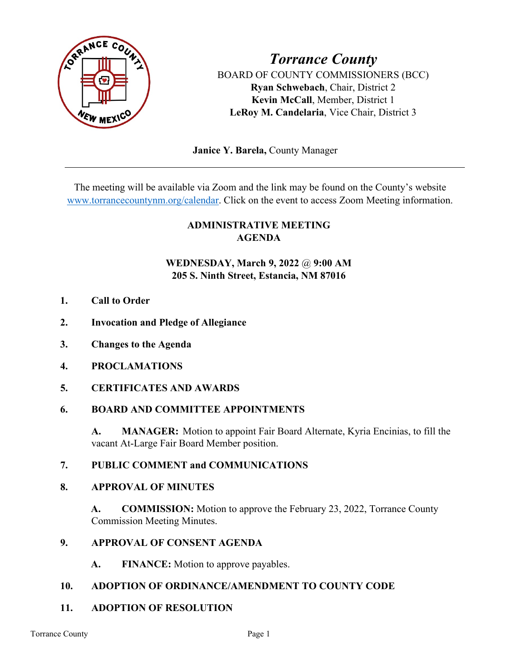

*Torrance County* BOARD OF COUNTY COMMISSIONERS (BCC) **Ryan Schwebach**, Chair, District 2 **Kevin McCall**, Member, District 1 **LeRoy M. Candelaria**, Vice Chair, District 3

 **Janice Y. Barela,** County Manager

The meeting will be available via Zoom and the link may be found on the County's website [www.torrancecountynm.org/calendar.](http://www.torrancecountynm.org/calendar) Click on the event to access Zoom Meeting information.

# **ADMINISTRATIVE MEETING AGENDA**

# **WEDNESDAY, March 9, 2022** @ **9:00 AM 205 S. Ninth Street, Estancia, NM 87016**

- **1. Call to Order**
- **2. Invocation and Pledge of Allegiance**
- **3. Changes to the Agenda**
- **4. PROCLAMATIONS**
- **5. CERTIFICATES AND AWARDS**

### **6. BOARD AND COMMITTEE APPOINTMENTS**

**A. MANAGER:** Motion to appoint Fair Board Alternate, Kyria Encinias, to fill the vacant At-Large Fair Board Member position.

### **7. PUBLIC COMMENT and COMMUNICATIONS**

### **8. APPROVAL OF MINUTES**

**A. COMMISSION:** Motion to approve the February 23, 2022, Torrance County Commission Meeting Minutes.

### **9. APPROVAL OF CONSENT AGENDA**

**A. FINANCE:** Motion to approve payables.

### **10. ADOPTION OF ORDINANCE/AMENDMENT TO COUNTY CODE**

### **11. ADOPTION OF RESOLUTION**